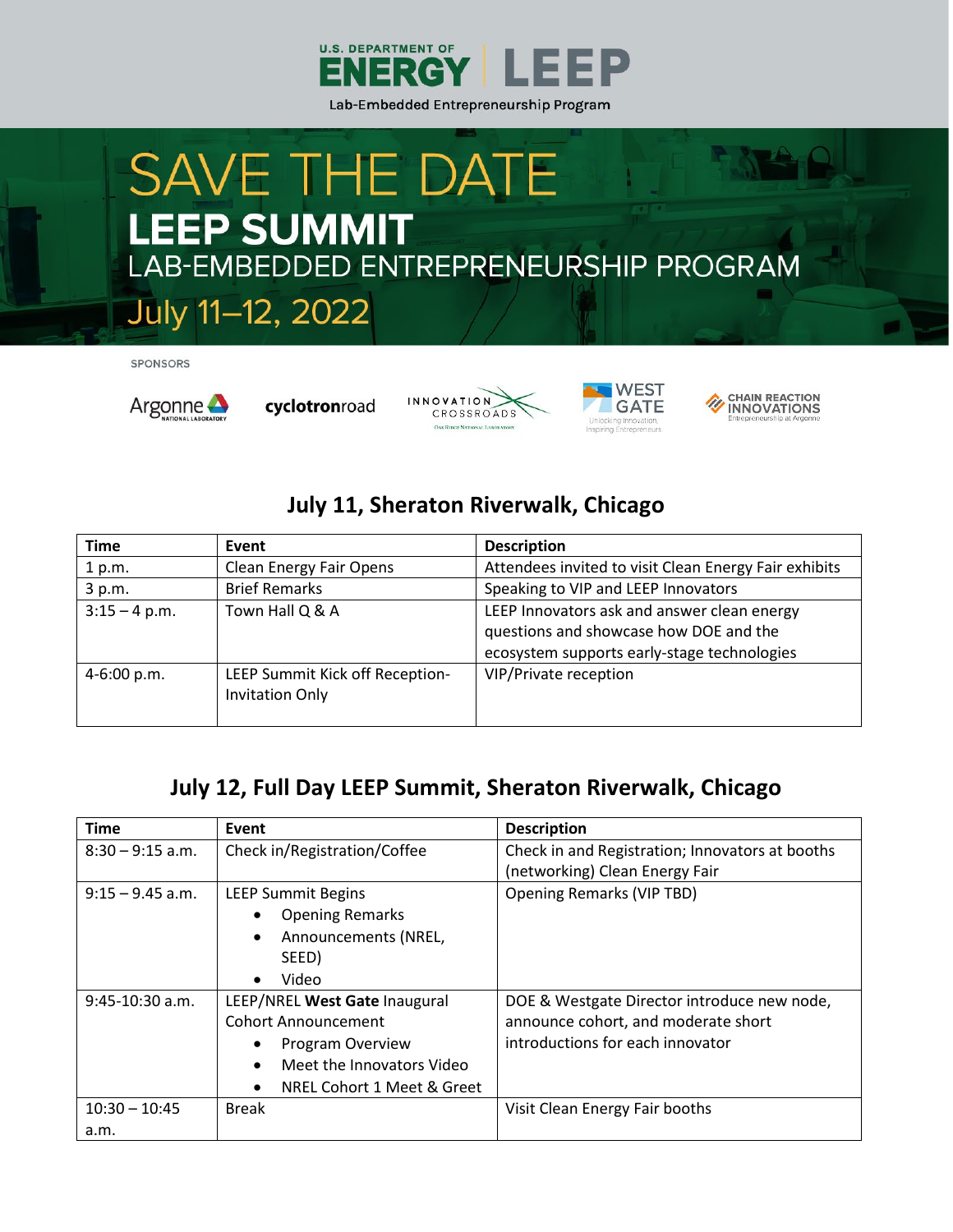

## **SAVE THE DATE LEEP SUMMIT** LAB-EMBEDDED ENTREPRENEURSHIP PROGRAM

SPONSORS



July 11-12, 2022

cyclotronroad







## **July 11, Sheraton Riverwalk, Chicago**

| Time            | Event                                                     | <b>Description</b>                                    |
|-----------------|-----------------------------------------------------------|-------------------------------------------------------|
| 1 p.m.          | Clean Energy Fair Opens                                   | Attendees invited to visit Clean Energy Fair exhibits |
| 3 p.m.          | <b>Brief Remarks</b>                                      | Speaking to VIP and LEEP Innovators                   |
| $3:15 - 4 p.m.$ | Town Hall Q & A                                           | LEEP Innovators ask and answer clean energy           |
|                 |                                                           | questions and showcase how DOE and the                |
|                 |                                                           | ecosystem supports early-stage technologies           |
| $4-6:00 p.m.$   | LEEP Summit Kick off Reception-<br><b>Invitation Only</b> | VIP/Private reception                                 |
|                 |                                                           |                                                       |

## **July 12, Full Day LEEP Summit, Sheraton Riverwalk, Chicago**

| <b>Time</b>        | Event                                   | <b>Description</b>                                                                |
|--------------------|-----------------------------------------|-----------------------------------------------------------------------------------|
| $8:30 - 9:15$ a.m. | Check in/Registration/Coffee            | Check in and Registration; Innovators at booths<br>(networking) Clean Energy Fair |
| $9:15 - 9.45$ a.m. | <b>LEEP Summit Begins</b>               | <b>Opening Remarks (VIP TBD)</b>                                                  |
|                    | <b>Opening Remarks</b>                  |                                                                                   |
|                    | Announcements (NREL,<br>$\bullet$       |                                                                                   |
|                    | SEED)                                   |                                                                                   |
|                    | Video                                   |                                                                                   |
| $9:45-10:30$ a.m.  | LEEP/NREL West Gate Inaugural           | DOE & Westgate Director introduce new node,                                       |
|                    | <b>Cohort Announcement</b>              | announce cohort, and moderate short                                               |
|                    | Program Overview                        | introductions for each innovator                                                  |
|                    | Meet the Innovators Video<br>$\bullet$  |                                                                                   |
|                    | NREL Cohort 1 Meet & Greet<br>$\bullet$ |                                                                                   |
| $10:30 - 10:45$    | <b>Break</b>                            | Visit Clean Energy Fair booths                                                    |
| a.m.               |                                         |                                                                                   |